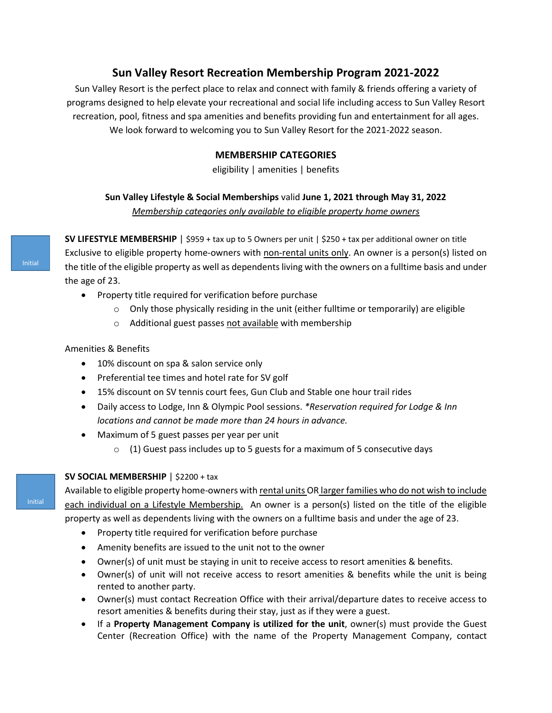# **Sun Valley Resort Recreation Membership Program 2021-2022**

Sun Valley Resort is the perfect place to relax and connect with family & friends offering a variety of programs designed to help elevate your recreational and social life including access to Sun Valley Resort recreation, pool, fitness and spa amenities and benefits providing fun and entertainment for all ages. We look forward to welcoming you to Sun Valley Resort for the 2021-2022 season.

## **MEMBERSHIP CATEGORIES**

eligibility | amenities | benefits

## **Sun Valley Lifestyle & Social Memberships** valid **June 1, 2021 through May 31, 2022** *Membership categories only available to eligible property home owners*

**SV LIFESTYLE MEMBERSHIP** | \$959 + tax up to 5 Owners per unit | \$250 + tax per additional owner on title Exclusive to eligible property home-owners with non-rental units only. An owner is a person(s) listed on the title of the eligible property as well as dependents living with the owners on a fulltime basis and under the age of 23.

- Property title required for verification before purchase
	- $\circ$  Only those physically residing in the unit (either fulltime or temporarily) are eligible
	- o Additional guest passes not available with membership

Amenities & Benefits

- 10% discount on spa & salon service only
- Preferential tee times and hotel rate for SV golf
- 15% discount on SV tennis court fees, Gun Club and Stable one hour trail rides
- Daily access to Lodge, Inn & Olympic Pool sessions. *\*Reservation required for Lodge & Inn locations and cannot be made more than 24 hours in advance.*
- Maximum of 5 guest passes per year per unit
	- $\circ$  (1) Guest pass includes up to 5 guests for a maximum of 5 consecutive days

## **SV SOCIAL MEMBERSHIP** | \$2200 + tax

Available to eligible property home-owners with rental units OR larger families who do not wish to include each individual on a Lifestyle Membership. An owner is a person(s) listed on the title of the eligible property as well as dependents living with the owners on a fulltime basis and under the age of 23.

- Property title required for verification before purchase
- Amenity benefits are issued to the unit not to the owner
- Owner(s) of unit must be staying in unit to receive access to resort amenities & benefits.
- Owner(s) of unit will not receive access to resort amenities & benefits while the unit is being rented to another party.
- Owner(s) must contact Recreation Office with their arrival/departure dates to receive access to resort amenities & benefits during their stay, just as if they were a guest.
- If a **Property Management Company is utilized for the unit**, owner(s) must provide the Guest Center (Recreation Office) with the name of the Property Management Company, contact

Initial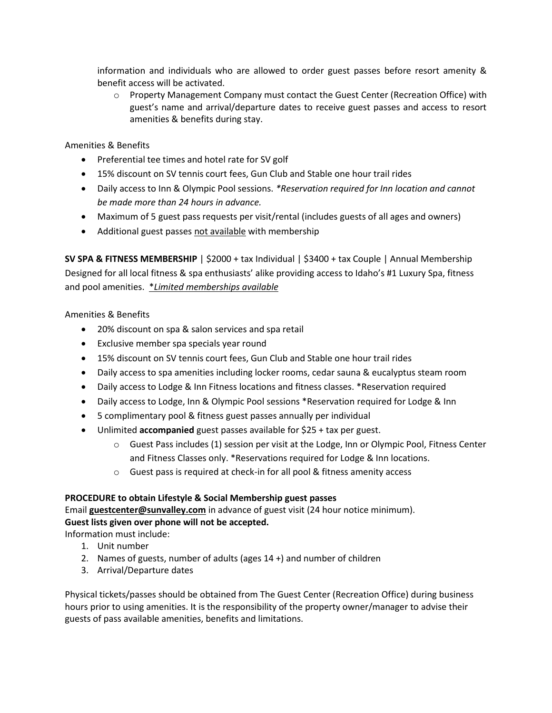information and individuals who are allowed to order guest passes before resort amenity & benefit access will be activated.

 $\circ$  Property Management Company must contact the Guest Center (Recreation Office) with guest's name and arrival/departure dates to receive guest passes and access to resort amenities & benefits during stay.

## Amenities & Benefits

- Preferential tee times and hotel rate for SV golf
- 15% discount on SV tennis court fees, Gun Club and Stable one hour trail rides
- Daily access to Inn & Olympic Pool sessions. *\*Reservation required for Inn location and cannot be made more than 24 hours in advance.*
- Maximum of 5 guest pass requests per visit/rental (includes guests of all ages and owners)
- Additional guest passes not available with membership

**SV SPA & FITNESS MEMBERSHIP** | \$2000 + tax Individual | \$3400 + tax Couple | Annual Membership Designed for all local fitness & spa enthusiasts' alike providing access to Idaho's #1 Luxury Spa, fitness and pool amenities. \**Limited memberships available*

## Amenities & Benefits

- 20% discount on spa & salon services and spa retail
- Exclusive member spa specials year round
- 15% discount on SV tennis court fees, Gun Club and Stable one hour trail rides
- Daily access to spa amenities including locker rooms, cedar sauna & eucalyptus steam room
- Daily access to Lodge & Inn Fitness locations and fitness classes. \*Reservation required
- Daily access to Lodge, Inn & Olympic Pool sessions \*Reservation required for Lodge & Inn
- 5 complimentary pool & fitness guest passes annually per individual
- Unlimited **accompanied** guest passes available for \$25 + tax per guest.
	- $\circ$  Guest Pass includes (1) session per visit at the Lodge, Inn or Olympic Pool, Fitness Center and Fitness Classes only. \*Reservations required for Lodge & Inn locations.
	- o Guest pass is required at check-in for all pool & fitness amenity access

## **PROCEDURE to obtain Lifestyle & Social Membership guest passes**

Email **[guestcenter@sunvalley.com](mailto:guestcenter@sunvalley.com)** in advance of guest visit (24 hour notice minimum). **Guest lists given over phone will not be accepted.** 

Information must include:

- 1. Unit number
- 2. Names of guests, number of adults (ages 14 +) and number of children
- 3. Arrival/Departure dates

Physical tickets/passes should be obtained from The Guest Center (Recreation Office) during business hours prior to using amenities. It is the responsibility of the property owner/manager to advise their guests of pass available amenities, benefits and limitations.